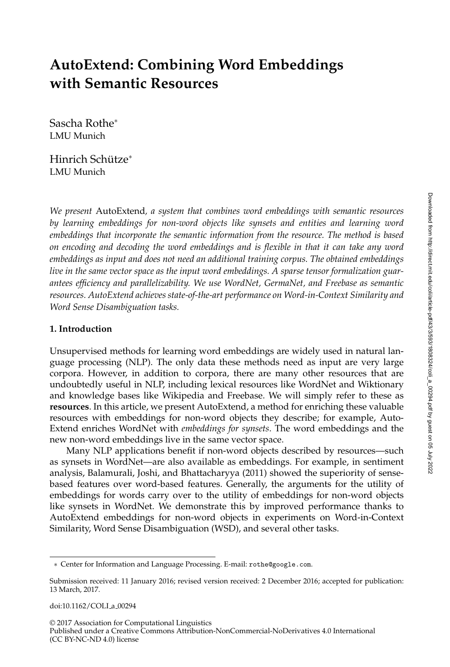# **AutoExtend: Combining Word Embeddings with Semantic Resources**

Sascha Rothe<sup>∗</sup> LMU Munich

Hinrich Schütze<sup>\*</sup> LMU Munich

*We present* AutoExtend*, a system that combines word embeddings with semantic resources by learning embeddings for non-word objects like synsets and entities and learning word embeddings that incorporate the semantic information from the resource. The method is based on encoding and decoding the word embeddings and is flexible in that it can take any word embeddings as input and does not need an additional training corpus. The obtained embeddings live in the same vector space as the input word embeddings. A sparse tensor formalization guarantees efficiency and parallelizability. We use WordNet, GermaNet, and Freebase as semantic resources. AutoExtend achieves state-of-the-art performance on Word-in-Context Similarity and Word Sense Disambiguation tasks.*

## **1. Introduction**

Unsupervised methods for learning word embeddings are widely used in natural language processing (NLP). The only data these methods need as input are very large corpora. However, in addition to corpora, there are many other resources that are undoubtedly useful in NLP, including lexical resources like WordNet and Wiktionary and knowledge bases like Wikipedia and Freebase. We will simply refer to these as **resources**. In this article, we present AutoExtend, a method for enriching these valuable resources with embeddings for non-word objects they describe; for example, Auto-Extend enriches WordNet with *embeddings for synsets*. The word embeddings and the new non-word embeddings live in the same vector space.

Many NLP applications benefit if non-word objects described by resources—such as synsets in WordNet—are also available as embeddings. For example, in sentiment analysis, Balamurali, Joshi, and Bhattacharyya (2011) showed the superiority of sensebased features over word-based features. Generally, the arguments for the utility of embeddings for words carry over to the utility of embeddings for non-word objects like synsets in WordNet. We demonstrate this by improved performance thanks to AutoExtend embeddings for non-word objects in experiments on Word-in-Context Similarity, Word Sense Disambiguation (WSD), and several other tasks.

© 2017 Association for Computational Linguistics Published under a Creative Commons Attribution-NonCommercial-NoDerivatives 4.0 International (CC BY-NC-ND 4.0) license

<sup>∗</sup> Center for Information and Language Processing. E-mail: rothe@google.com.

Submission received: 11 January 2016; revised version received: 2 December 2016; accepted for publication: 13 March, 2017.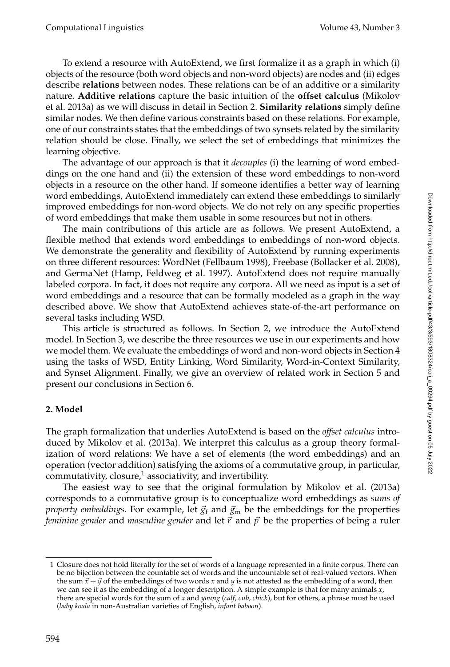To extend a resource with AutoExtend, we first formalize it as a graph in which (i) objects of the resource (both word objects and non-word objects) are nodes and (ii) edges describe **relations** between nodes. These relations can be of an additive or a similarity nature. **Additive relations** capture the basic intuition of the **offset calculus** (Mikolov et al. 2013a) as we will discuss in detail in Section 2. **Similarity relations** simply define similar nodes. We then define various constraints based on these relations. For example, one of our constraints states that the embeddings of two synsets related by the similarity relation should be close. Finally, we select the set of embeddings that minimizes the learning objective.

The advantage of our approach is that it *decouples* (i) the learning of word embeddings on the one hand and (ii) the extension of these word embeddings to non-word objects in a resource on the other hand. If someone identifies a better way of learning word embeddings, AutoExtend immediately can extend these embeddings to similarly improved embeddings for non-word objects. We do not rely on any specific properties of word embeddings that make them usable in some resources but not in others.

The main contributions of this article are as follows. We present AutoExtend, a flexible method that extends word embeddings to embeddings of non-word objects. We demonstrate the generality and flexibility of AutoExtend by running experiments on three different resources: WordNet (Fellbaum 1998), Freebase (Bollacker et al. 2008), and GermaNet (Hamp, Feldweg et al. 1997). AutoExtend does not require manually labeled corpora. In fact, it does not require any corpora. All we need as input is a set of word embeddings and a resource that can be formally modeled as a graph in the way described above. We show that AutoExtend achieves state-of-the-art performance on several tasks including WSD.

This article is structured as follows. In Section 2, we introduce the AutoExtend model. In Section 3, we describe the three resources we use in our experiments and how we model them. We evaluate the embeddings of word and non-word objects in Section 4 using the tasks of WSD, Entity Linking, Word Similarity, Word-in-Context Similarity, and Synset Alignment. Finally, we give an overview of related work in Section 5 and present our conclusions in Section 6.

# **2. Model**

The graph formalization that underlies AutoExtend is based on the *offset calculus* introduced by Mikolov et al. (2013a). We interpret this calculus as a group theory formalization of word relations: We have a set of elements (the word embeddings) and an operation (vector addition) satisfying the axioms of a commutative group, in particular, commutativity, closure, $^1$  associativity, and invertibility.

The easiest way to see that the original formulation by Mikolov et al. (2013a) corresponds to a commutative group is to conceptualize word embeddings as *sums of property embeddings*. For example, let  $\vec{g}_f$  and  $\vec{g}_m$  be the embeddings for the properties *feminine gender* and *masculine gender* and let  $\vec{r}$  and  $\vec{p}$  be the properties of being a ruler

<sup>1</sup> Closure does not hold literally for the set of words of a language represented in a finite corpus: There can be no bijection between the countable set of words and the uncountable set of real-valued vectors. When the sum  $\vec{x}$  +  $\vec{y}$  of the embeddings of two words *x* and *y* is not attested as the embedding of a word, then we can see it as the embedding of a longer description. A simple example is that for many animals *x*, there are special words for the sum of *x* and *young* (*calf*, *cub*, *chick*), but for others, a phrase must be used (*baby koala* in non-Australian varieties of English, *infant baboon*).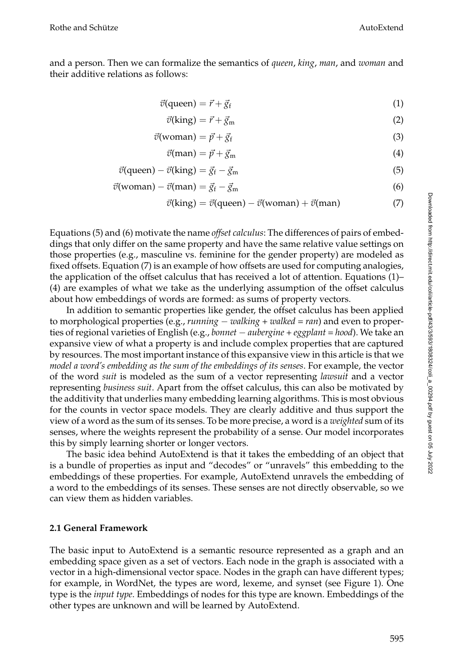# and a person. Then we can formalize the semantics of *queen*, *king*, *man*, and *woman* and their additive relations as follows:

$$
\vec{v}(\text{queen}) = \vec{r} + \vec{g}_f \tag{1}
$$

$$
\vec{v}(\text{king}) = \vec{r} + \vec{g}_{\text{m}} \tag{2}
$$

$$
\vec{v}(\text{woman}) = \vec{p} + \vec{g}_f \tag{3}
$$

$$
\vec{v}(\text{man}) = \vec{p} + \vec{g}_{\text{m}} \tag{4}
$$

$$
\vec{v}(\text{queen}) - \vec{v}(\text{king}) = \vec{g}_f - \vec{g}_m \tag{5}
$$

$$
\vec{v}(\text{woman}) - \vec{v}(\text{man}) = \vec{g}_f - \vec{g}_m \tag{6}
$$

$$
\vec{v}(\text{king}) = \vec{v}(\text{queen}) - \vec{v}(\text{woman}) + \vec{v}(\text{man})
$$
\n(7)

Equations (5) and (6) motivate the name *offset calculus*: The differences of pairs of embeddings that only differ on the same property and have the same relative value settings on those properties (e.g., masculine vs. feminine for the gender property) are modeled as fixed offsets. Equation (7) is an example of how offsets are used for computing analogies, the application of the offset calculus that has received a lot of attention. Equations (1)– (4) are examples of what we take as the underlying assumption of the offset calculus about how embeddings of words are formed: as sums of property vectors.

In addition to semantic properties like gender, the offset calculus has been applied to morphological properties (e.g., *running* − *walking* + *walked* = *ran*) and even to properties of regional varieties of English (e.g., *bonnet* − *aubergine* + *eggplant* = *hood*). We take an expansive view of what a property is and include complex properties that are captured by resources. The most important instance of this expansive view in this article is that we *model a word's embedding as the sum of the embeddings of its senses*. For example, the vector of the word *suit* is modeled as the sum of a vector representing *lawsuit* and a vector representing *business suit*. Apart from the offset calculus, this can also be motivated by the additivity that underlies many embedding learning algorithms. This is most obvious for the counts in vector space models. They are clearly additive and thus support the view of a word as the sum of its senses. To be more precise, a word is a *weighted* sum of its senses, where the weights represent the probability of a sense. Our model incorporates this by simply learning shorter or longer vectors.

The basic idea behind AutoExtend is that it takes the embedding of an object that is a bundle of properties as input and "decodes" or "unravels" this embedding to the embeddings of these properties. For example, AutoExtend unravels the embedding of a word to the embeddings of its senses. These senses are not directly observable, so we can view them as hidden variables.

## **2.1 General Framework**

The basic input to AutoExtend is a semantic resource represented as a graph and an embedding space given as a set of vectors. Each node in the graph is associated with a vector in a high-dimensional vector space. Nodes in the graph can have different types; for example, in WordNet, the types are word, lexeme, and synset (see Figure 1). One type is the *input type*. Embeddings of nodes for this type are known. Embeddings of the other types are unknown and will be learned by AutoExtend.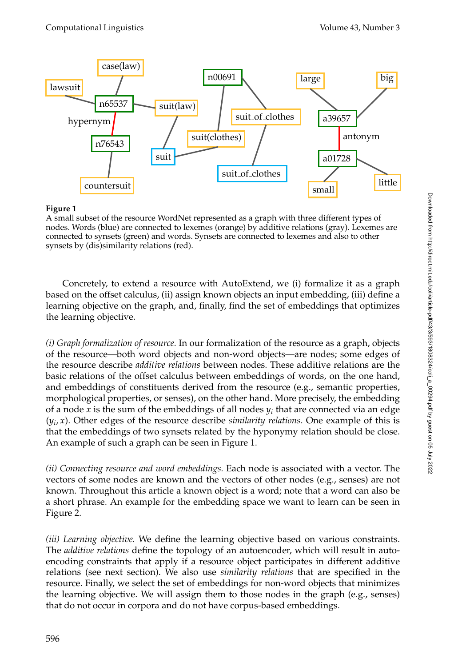

## **Figure 1**

A small subset of the resource WordNet represented as a graph with three different types of nodes. Words (blue) are connected to lexemes (orange) by additive relations (gray). Lexemes are connected to synsets (green) and words. Synsets are connected to lexemes and also to other synsets by (dis)similarity relations (red).

Concretely, to extend a resource with AutoExtend, we (i) formalize it as a graph based on the offset calculus, (ii) assign known objects an input embedding, (iii) define a learning objective on the graph, and, finally, find the set of embeddings that optimizes the learning objective.

*(i) Graph formalization of resource.* In our formalization of the resource as a graph, objects of the resource—both word objects and non-word objects—are nodes; some edges of the resource describe *additive relations* between nodes. These additive relations are the basic relations of the offset calculus between embeddings of words, on the one hand, and embeddings of constituents derived from the resource (e.g., semantic properties, morphological properties, or senses), on the other hand. More precisely, the embedding of a node *x* is the sum of the embeddings of all nodes *y<sup>i</sup>* that are connected via an edge  $(y_i, x)$ . Other edges of the resource describe *similarity relations*. One example of this is that the embeddings of two synsets related by the hyponymy relation should be close. An example of such a graph can be seen in Figure 1.

*(ii) Connecting resource and word embeddings.* Each node is associated with a vector. The vectors of some nodes are known and the vectors of other nodes (e.g., senses) are not known. Throughout this article a known object is a word; note that a word can also be a short phrase. An example for the embedding space we want to learn can be seen in Figure 2.

*(iii) Learning objective.* We define the learning objective based on various constraints. The *additive relations* define the topology of an autoencoder, which will result in autoencoding constraints that apply if a resource object participates in different additive relations (see next section). We also use *similarity relations* that are specified in the resource. Finally, we select the set of embeddings for non-word objects that minimizes the learning objective. We will assign them to those nodes in the graph (e.g., senses) that do not occur in corpora and do not have corpus-based embeddings.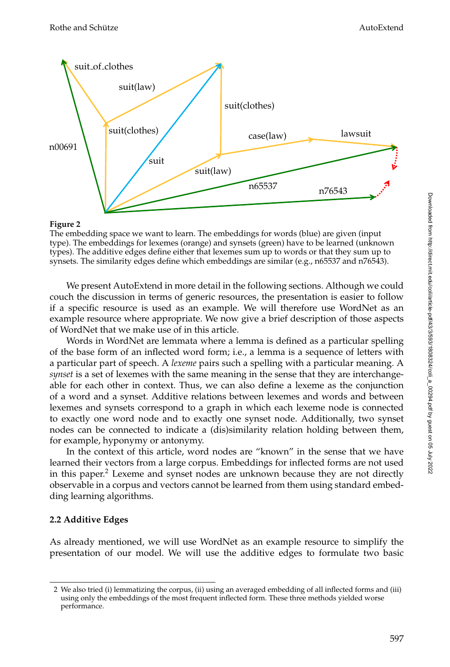

#### **Figure 2**

The embedding space we want to learn. The embeddings for words (blue) are given (input type). The embeddings for lexemes (orange) and synsets (green) have to be learned (unknown types). The additive edges define either that lexemes sum up to words or that they sum up to synsets. The similarity edges define which embeddings are similar (e.g., n65537 and n76543).

We present AutoExtend in more detail in the following sections. Although we could couch the discussion in terms of generic resources, the presentation is easier to follow if a specific resource is used as an example. We will therefore use WordNet as an example resource where appropriate. We now give a brief description of those aspects of WordNet that we make use of in this article.

Words in WordNet are lemmata where a lemma is defined as a particular spelling of the base form of an inflected word form; i.e., a lemma is a sequence of letters with a particular part of speech. A *lexeme* pairs such a spelling with a particular meaning. A *synset* is a set of lexemes with the same meaning in the sense that they are interchangeable for each other in context. Thus, we can also define a lexeme as the conjunction of a word and a synset. Additive relations between lexemes and words and between lexemes and synsets correspond to a graph in which each lexeme node is connected to exactly one word node and to exactly one synset node. Additionally, two synset nodes can be connected to indicate a (dis)similarity relation holding between them, for example, hyponymy or antonymy.

In the context of this article, word nodes are "known" in the sense that we have learned their vectors from a large corpus. Embeddings for inflected forms are not used in this paper. $^2$  Lexeme and synset nodes are unknown because they are not directly observable in a corpus and vectors cannot be learned from them using standard embedding learning algorithms.

## **2.2 Additive Edges**

As already mentioned, we will use WordNet as an example resource to simplify the presentation of our model. We will use the additive edges to formulate two basic

<sup>2</sup> We also tried (i) lemmatizing the corpus, (ii) using an averaged embedding of all inflected forms and (iii) using only the embeddings of the most frequent inflected form. These three methods yielded worse performance.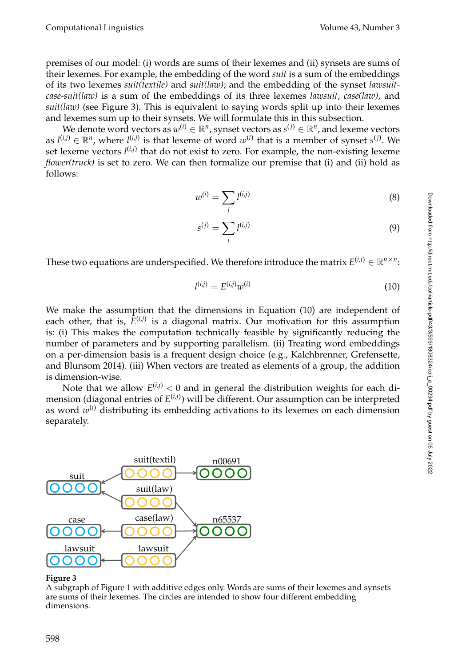Computational Linguistics Volume 43, Number 3

premises of our model: (i) words are sums of their lexemes and (ii) synsets are sums of their lexemes. For example, the embedding of the word *suit* is a sum of the embeddings of its two lexemes *suit(textile)* and *suit(law)*; and the embedding of the synset *lawsuitcase-suit(law)* is a sum of the embeddings of its three lexemes *lawsuit*, *case(law)*, and *suit(law)* (see Figure 3). This is equivalent to saying words split up into their lexemes and lexemes sum up to their synsets. We will formulate this in this subsection.

We denote word vectors as  $w^{(i)} \in \mathbb{R}^n$ , synset vectors as  $s^{(j)} \in \mathbb{R}^n$ , and lexeme vectors as  $l^{(i,j)} \in \mathbb{R}^n$ , where  $l^{(i,j)}$  is that lexeme of word  $w^{(i)}$  that is a member of synset  $s^{(j)}$ . We set lexeme vectors  $l^{(i,j)}$  that do not exist to zero. For example, the non-existing lexeme *flower(truck)* is set to zero. We can then formalize our premise that (i) and (ii) hold as follows:

$$
w^{(i)} = \sum_{j} l^{(i,j)} \tag{8}
$$

$$
s^{(j)} = \sum_{i} l^{(i,j)} \tag{9}
$$

These two equations are underspecified. We therefore introduce the matrix  $E^{(i,j)} \in \mathbb{R}^{n \times n}$ :

$$
l^{(i,j)} = E^{(i,j)}w^{(i)} \tag{10}
$$

We make the assumption that the dimensions in Equation (10) are independent of each other, that is,  $E^{(i,j)}$  is a diagonal matrix. Our motivation for this assumption is: (i) This makes the computation technically feasible by significantly reducing the number of parameters and by supporting parallelism. (ii) Treating word embeddings on a per-dimension basis is a frequent design choice (e.g., Kalchbrenner, Grefensette, and Blunsom 2014). (iii) When vectors are treated as elements of a group, the addition is dimension-wise.

Note that we allow  $E^{(i,j)} < 0$  and in general the distribution weights for each dimension (diagonal entries of *E* (*i*,*j*) ) will be different. Our assumption can be interpreted as word  $w^{(i)}$  distributing its embedding activations to its lexemes on each dimension separately.



## **Figure 3**

A subgraph of Figure 1 with additive edges only. Words are sums of their lexemes and synsets are sums of their lexemes. The circles are intended to show four different embedding dimensions.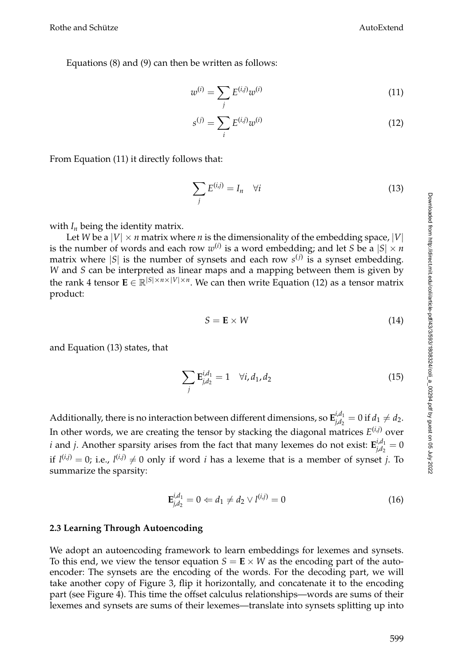Equations (8) and (9) can then be written as follows:

$$
w^{(i)} = \sum_{j} E^{(i,j)} w^{(i)}
$$
 (11)

$$
s^{(j)} = \sum_{i} E^{(i,j)} w^{(i)}
$$
 (12)

From Equation (11) it directly follows that:

$$
\sum_{j} E^{(i,j)} = I_n \quad \forall i \tag{13}
$$

with  $I_n$  being the identity matrix.

Let *W* be a  $|V| \times n$  matrix where *n* is the dimensionality of the embedding space,  $|V|$ is the number of words and each row  $w^{(i)}$  is a word embedding; and let *S* be a  $|S| \times n$ matrix where |*S*| is the number of synsets and each row *s* (*j*) is a synset embedding. *W* and *S* can be interpreted as linear maps and a mapping between them is given by the rank 4 tensor  $\mathbf{E} \in \mathbb{R}^{|S| \times n \times |V| \times n}$ . We can then write Equation (12) as a tensor matrix product:

$$
S = \mathbf{E} \times W \tag{14}
$$

and Equation (13) states, that

$$
\sum_{j} \mathbf{E}_{j,d_2}^{i,d_1} = 1 \quad \forall i, d_1, d_2 \tag{15}
$$

Additionally, there is no interaction between different dimensions, so  $\mathbf{E}_{id}^{i,d_1}$  $f_{j,d_2}^{l,a_1} = 0$  if  $d_1 \neq d_2$ . In other words, we are creating the tensor by stacking the diagonal matrices *E* (*i*,*j*) over *i* and *j*. Another sparsity arises from the fact that many lexemes do not exist:  $\mathbf{E}_{id}^{i,d_1}$  $\int_{i,d_2}^{i,d_1} = 0$ if  $l^{(i,j)} = 0$ ; i.e.,  $l^{(i,j)} \neq 0$  only if word *i* has a lexeme that is a member of synset *j*. To summarize the sparsity:

$$
\mathbf{E}_{j,d_2}^{i,d_1} = 0 \Leftarrow d_1 \neq d_2 \vee l^{(i,j)} = 0 \tag{16}
$$

#### **2.3 Learning Through Autoencoding**

We adopt an autoencoding framework to learn embeddings for lexemes and synsets. To this end, we view the tensor equation  $S = \mathbf{E} \times W$  as the encoding part of the autoencoder: The synsets are the encoding of the words. For the decoding part, we will take another copy of Figure 3, flip it horizontally, and concatenate it to the encoding part (see Figure 4). This time the offset calculus relationships—words are sums of their lexemes and synsets are sums of their lexemes—translate into synsets splitting up into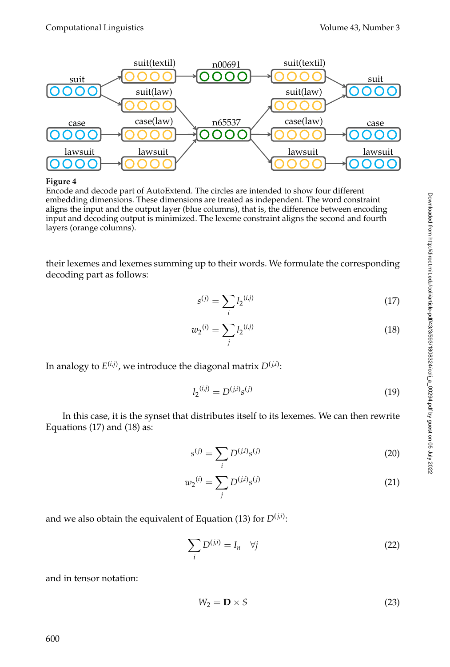

**Figure 4**

Encode and decode part of AutoExtend. The circles are intended to show four different embedding dimensions. These dimensions are treated as independent. The word constraint aligns the input and the output layer (blue columns), that is, the difference between encoding input and decoding output is minimized. The lexeme constraint aligns the second and fourth layers (orange columns).

their lexemes and lexemes summing up to their words. We formulate the corresponding decoding part as follows:

$$
s^{(j)} = \sum_{i} l_2^{(i,j)} \tag{17}
$$

$$
w_2^{(i)} = \sum_j l_2^{(i,j)} \tag{18}
$$

In analogy to  $E^{(i,j)}$ , we introduce the diagonal matrix  $D^{(j,i)}$ :

$$
l_2^{(i,j)} = D^{(j,i)} s^{(j)} \tag{19}
$$

In this case, it is the synset that distributes itself to its lexemes. We can then rewrite Equations (17) and (18) as:

$$
s^{(j)} = \sum_{i} D^{(j,i)} s^{(j)}
$$
 (20)

$$
w_2^{(i)} = \sum_j D^{(j,i)} s^{(j)}
$$
 (21)

and we also obtain the equivalent of Equation (13) for  $D^{(j,i)}$ :

$$
\sum_{i} D^{(j,i)} = I_n \quad \forall j \tag{22}
$$

and in tensor notation:

$$
W_2 = \mathbf{D} \times S \tag{23}
$$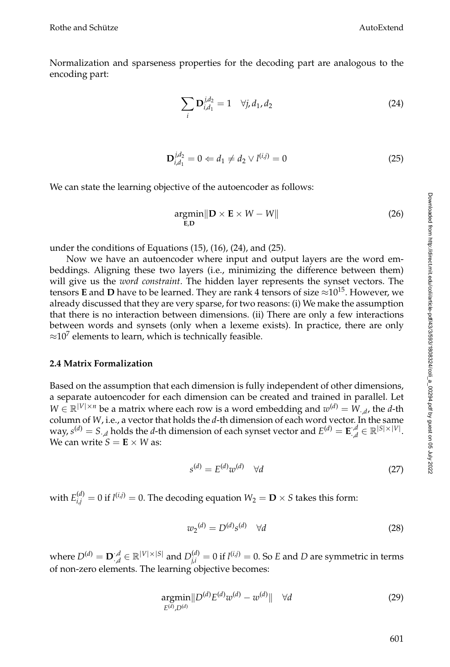Normalization and sparseness properties for the decoding part are analogous to the encoding part:

$$
\sum_{i} \mathbf{D}_{i,d_1}^{j,d_2} = 1 \quad \forall j, d_1, d_2 \tag{24}
$$

$$
\mathbf{D}_{i,d_1}^{j,d_2} = 0 \Leftarrow d_1 \neq d_2 \vee l^{(i,j)} = 0 \tag{25}
$$

We can state the learning objective of the autoencoder as follows:

$$
\underset{\mathbf{E},\mathbf{D}}{\text{argmin}} \|\mathbf{D} \times \mathbf{E} \times W - W\|
$$
 (26)

under the conditions of Equations (15), (16), (24), and (25).

Now we have an autoencoder where input and output layers are the word embeddings. Aligning these two layers (i.e., minimizing the difference between them) will give us the *word constraint*. The hidden layer represents the synset vectors. The tensors **E** and **D** have to be learned. They are rank 4 tensors of size  $\approx 10^{15}$ . However, we already discussed that they are very sparse, for two reasons: (i) We make the assumption that there is no interaction between dimensions. (ii) There are only a few interactions between words and synsets (only when a lexeme exists). In practice, there are only  $\approx$ 10<sup>7</sup> elements to learn, which is technically feasible.

#### **2.4 Matrix Formalization**

Based on the assumption that each dimension is fully independent of other dimensions, a separate autoencoder for each dimension can be created and trained in parallel. Let  $W \in \mathbb{R}^{|V| \times n}$  be a matrix where each row is a word embedding and  $w^{(d)} = W_{\cdot,d}$ , the *d*-th column of *W*, i.e., a vector that holds the *d*-th dimension of each word vector. In the same way,  $s^{(d)} = S_{\cdot,d}$  holds the *d*-th dimension of each synset vector and  $E^{(d)} = \mathbf{E}_{\cdot,d}^{,\cdot,d}$  $\mathcal{A}_{\mathcal{A}}^{d} \in \mathbb{R}^{|S| \times |V|}.$ We can write  $S = \mathbf{E} \times W$  as:

$$
s^{(d)} = E^{(d)}w^{(d)} \quad \forall d \tag{27}
$$

with  $E_{i,j}^{(d)} = 0$  if  $l^{(i,j)} = 0$ . The decoding equation  $W_2 = \mathbf{D} \times S$  takes this form:

$$
w_2^{(d)} = D^{(d)} s^{(d)} \quad \forall d \tag{28}
$$

where  $D^{(d)} = \mathbf{D}^{d}$  $\Gamma_{d}^{d} \in \mathbb{R}^{|V| \times |S|}$  and  $D_{j,i}^{(d)} = 0$  if  $l^{(i,j)} = 0$ . So *E* and *D* are symmetric in terms of non-zero elements. The learning objective becomes:

$$
\underset{E^{(d)}, D^{(d)}}{\text{argmin}} \| D^{(d)} E^{(d)} w^{(d)} - w^{(d)} \| \quad \forall d \tag{29}
$$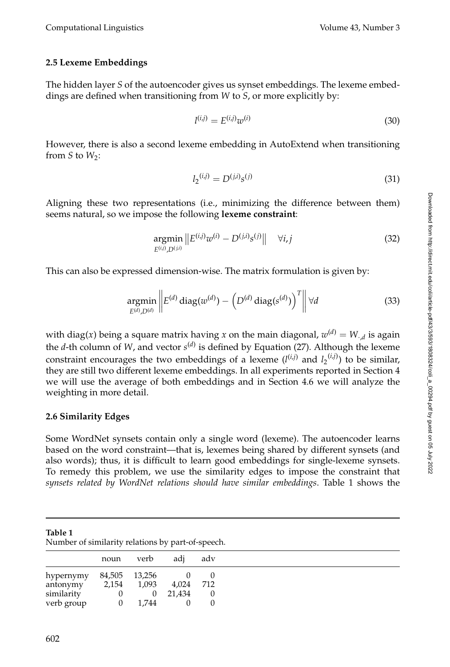# **2.5 Lexeme Embeddings**

The hidden layer *S* of the autoencoder gives us synset embeddings. The lexeme embeddings are defined when transitioning from *W* to *S*, or more explicitly by:

$$
l^{(i,j)} = E^{(i,j)}w^{(i)}
$$
\n(30)

However, there is also a second lexeme embedding in AutoExtend when transitioning from  $S$  to  $W_2$ :

$$
l_2^{(i,j)} = D^{(j,i)}s^{(j)} \tag{31}
$$

Aligning these two representations (i.e., minimizing the difference between them) seems natural, so we impose the following **lexeme constraint**:

$$
\underset{E^{(i,j)},D^{(j,i)}}{\text{argmin}} \|E^{(i,j)}w^{(i)} - D^{(j,i)}s^{(j)}\| \quad \forall i,j \tag{32}
$$

This can also be expressed dimension-wise. The matrix formulation is given by:

$$
\underset{E^{(d)}, D^{(d)}}{\operatorname{argmin}} \left\| E^{(d)} \operatorname{diag}(w^{(d)}) - \left( D^{(d)} \operatorname{diag}(s^{(d)}) \right)^T \right\| \forall d \tag{33}
$$

with  $\text{diag}(x)$  being a square matrix having  $x$  on the main  $\text{diagonal}, w^{(d)} = W_{\cdot,d}$  is again the *d*-th column of *W*, and vector  $s^{(d)}$  is defined by Equation (27). Although the lexeme constraint encourages the two embeddings of a lexeme  $(l^{(i,j)}$  and  $l_2^{(i,j)})$  to be similar, they are still two different lexeme embeddings. In all experiments reported in Section 4 we will use the average of both embeddings and in Section 4.6 we will analyze the weighting in more detail.

## **2.6 Similarity Edges**

Some WordNet synsets contain only a single word (lexeme). The autoencoder learns based on the word constraint—that is, lexemes being shared by different synsets (and also words); thus, it is difficult to learn good embeddings for single-lexeme synsets. To remedy this problem, we use the similarity edges to impose the constraint that *synsets related by WordNet relations should have similar embeddings*. Table 1 shows the

| Table 1 |                                                   |  |  |
|---------|---------------------------------------------------|--|--|
|         | Number of similarity relations by part-of-speech. |  |  |

|            | noun     | verb     | adi    | adv |
|------------|----------|----------|--------|-----|
| hypernymy  | 84,505   | 13,256   |        |     |
| antonymy   | 2,154    | 1,093    | 4,024  | 712 |
| similarity |          | $\theta$ | 21,434 |     |
| verb group | $\theta$ | 1.744    |        |     |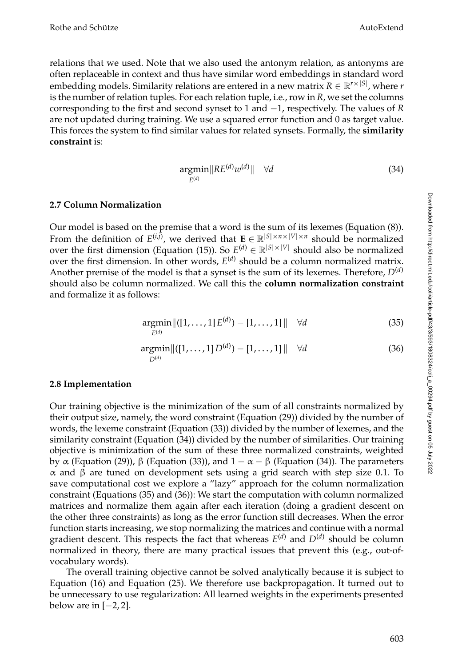relations that we used. Note that we also used the antonym relation, as antonyms are often replaceable in context and thus have similar word embeddings in standard word embedding models. Similarity relations are entered in a new matrix  $R \in \mathbb{R}^{r \times |S|}$ , where  $r$ is the number of relation tuples. For each relation tuple, i.e., row in *R*, we set the columns corresponding to the first and second synset to 1 and −1, respectively. The values of *R* are not updated during training. We use a squared error function and 0 as target value. This forces the system to find similar values for related synsets. Formally, the **similarity constraint** is:

$$
\underset{E^{(d)}}{\operatorname{argmin}} \|RE^{(d)}w^{(d)}\| \quad \forall d \tag{34}
$$

## **2.7 Column Normalization**

Our model is based on the premise that a word is the sum of its lexemes (Equation (8)). From the definition of  $E^{(i,j)}$ , we derived that  $\mathbf{E} \in \mathbb{R}^{|S| \times n \times |V| \times n}$  should be normalized over the first dimension (Equation (15)). So  $E^{(d)} \in \mathbb{R}^{|S| \times |V|}$  should also be normalized over the first dimension. In other words,  $E^{(d)}$  should be a column normalized matrix. Another premise of the model is that a synset is the sum of its lexemes. Therefore,  $D^{(d)}$ should also be column normalized. We call this the **column normalization constraint** and formalize it as follows:

$$
\underset{E^{(d)}}{\text{argmin}} \left\| ([1, \dots, 1] E^{(d)}) - [1, \dots, 1] \right\| \quad \forall d \tag{35}
$$

$$
\underset{D^{(d)}}{\text{argmin}} \|\langle [1,\ldots,1] \, D^{(d)} \rangle - [1,\ldots,1] \, \|\quad \forall d \tag{36}
$$

## **2.8 Implementation**

Our training objective is the minimization of the sum of all constraints normalized by their output size, namely, the word constraint (Equation (29)) divided by the number of words, the lexeme constraint (Equation (33)) divided by the number of lexemes, and the similarity constraint (Equation (34)) divided by the number of similarities. Our training objective is minimization of the sum of these three normalized constraints, weighted by α (Equation (29)), β (Equation (33)), and  $1 - \alpha - \beta$  (Equation (34)). The parameters α and β are tuned on development sets using a grid search with step size 0.1. To save computational cost we explore a "lazy" approach for the column normalization constraint (Equations (35) and (36)): We start the computation with column normalized matrices and normalize them again after each iteration (doing a gradient descent on the other three constraints) as long as the error function still decreases. When the error function starts increasing, we stop normalizing the matrices and continue with a normal gradient descent. This respects the fact that whereas *E* (*d*) and *D*(*d*) should be column normalized in theory, there are many practical issues that prevent this (e.g., out-ofvocabulary words).

The overall training objective cannot be solved analytically because it is subject to Equation (16) and Equation (25). We therefore use backpropagation. It turned out to be unnecessary to use regularization: All learned weights in the experiments presented below are in  $[-2, 2]$ .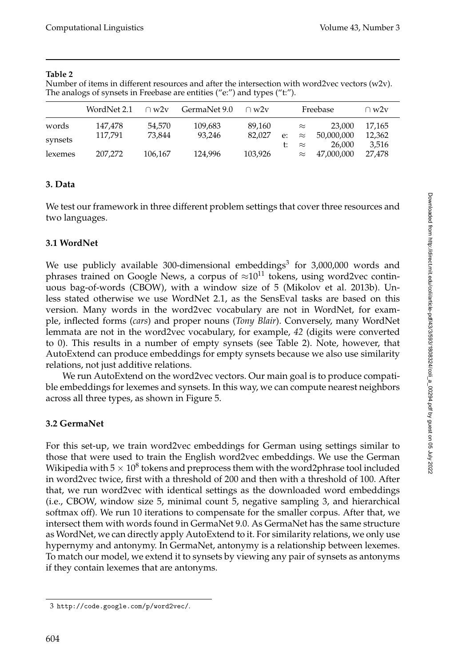Number of items in different resources and after the intersection with word2vec vectors (w2v). The analogs of synsets in Freebase are entities ("e:") and types ("t:").

|         | WordNet 2.1 | $\cap w2v$ | GermaNet 9.0 | $\cap w2v$ |    |           | Freebase   | $\cap w2v$ |  |
|---------|-------------|------------|--------------|------------|----|-----------|------------|------------|--|
| words   | 147.478     | 54.570     | 109,683      | 89.160     |    | $\approx$ | 23,000     | 17.165     |  |
| synsets | 117.791     | 73.844     | 93.246       | 82.027     | e: | $\approx$ | 50,000,000 | 12,362     |  |
|         |             |            |              |            |    | $\approx$ | 26.000     | 3.516      |  |
| lexemes | 207.272     | 106,167    | 124.996      | 103,926    |    | $\approx$ | 47,000,000 | 27.478     |  |

## **3. Data**

We test our framework in three different problem settings that cover three resources and two languages.

# **3.1 WordNet**

We use publicly available 300-dimensional embeddings<sup>3</sup> for 3,000,000 words and phrases trained on Google News, a corpus of  $\approx 10^{11}$  tokens, using word2vec continuous bag-of-words (CBOW), with a window size of 5 (Mikolov et al. 2013b). Unless stated otherwise we use WordNet 2.1, as the SensEval tasks are based on this version. Many words in the word2vec vocabulary are not in WordNet, for example, inflected forms (*cars*) and proper nouns (*Tony Blair*). Conversely, many WordNet lemmata are not in the word2vec vocabulary, for example, *42* (digits were converted to 0). This results in a number of empty synsets (see Table 2). Note, however, that AutoExtend can produce embeddings for empty synsets because we also use similarity relations, not just additive relations.

We run AutoExtend on the word2vec vectors. Our main goal is to produce compatible embeddings for lexemes and synsets. In this way, we can compute nearest neighbors across all three types, as shown in Figure 5.

# **3.2 GermaNet**

For this set-up, we train word2vec embeddings for German using settings similar to those that were used to train the English word2vec embeddings. We use the German Wikipedia with 5  $\times$  10 $^{8}$  tokens and preprocess them with the word2phrase tool included in word2vec twice, first with a threshold of 200 and then with a threshold of 100. After that, we run word2vec with identical settings as the downloaded word embeddings (i.e., CBOW, window size 5, minimal count 5, negative sampling 3, and hierarchical softmax off). We run 10 iterations to compensate for the smaller corpus. After that, we intersect them with words found in GermaNet 9.0. As GermaNet has the same structure as WordNet, we can directly apply AutoExtend to it. For similarity relations, we only use hypernymy and antonymy. In GermaNet, antonymy is a relationship between lexemes. To match our model, we extend it to synsets by viewing any pair of synsets as antonyms if they contain lexemes that are antonyms.

<sup>3</sup> http://code.google.com/p/word2vec/.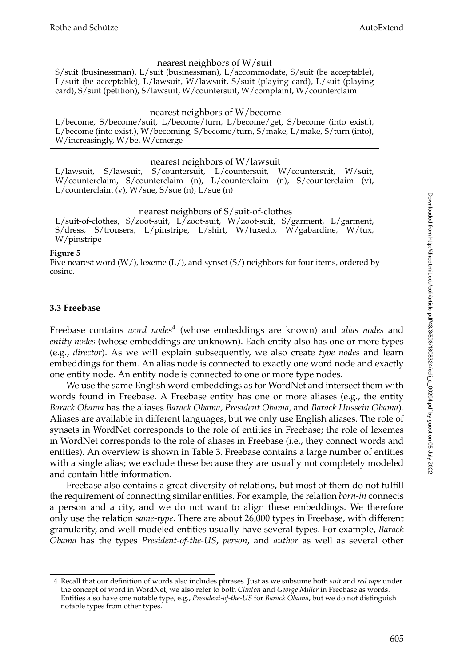#### nearest neighbors of W/suit

S/suit (businessman), L/suit (businessman), L/accommodate, S/suit (be acceptable), L/suit (be acceptable), L/lawsuit, W/lawsuit, S/suit (playing card), L/suit (playing card), S/suit (petition), S/lawsuit, W/countersuit, W/complaint, W/counterclaim

#### nearest neighbors of W/become

L/become, S/become/suit, L/become/turn, L/become/get, S/become (into exist.), L/become (into exist.), W/becoming, S/become/turn, S/make, L/make, S/turn (into), W/increasingly, W/be, W/emerge

#### nearest neighbors of W/lawsuit

L/lawsuit, S/lawsuit, S/countersuit, L/countersuit, W/countersuit, W/suit, W/counterclaim, S/counterclaim (n), L/counterclaim (n), S/counterclaim (v), L/counterclaim (v), W/sue, S/sue (n), L/sue (n)

#### nearest neighbors of S/suit-of-clothes

L/suit-of-clothes, S/zoot-suit, L/zoot-suit, W/zoot-suit, S/garment, L/garment, S/dress, S/trousers, L/pinstripe, L/shirt, W/tuxedo, W/gabardine, W/tux, W/pinstripe

#### **Figure 5**

Five nearest word  $(W/$ ), lexeme  $(L/)$ , and synset  $(S/)$  neighbors for four items, ordered by cosine.

## **3.3 Freebase**

Freebase contains *word nodes*<sup>4</sup> (whose embeddings are known) and *alias nodes* and *entity nodes* (whose embeddings are unknown). Each entity also has one or more types (e.g., *director*). As we will explain subsequently, we also create *type nodes* and learn embeddings for them. An alias node is connected to exactly one word node and exactly one entity node. An entity node is connected to one or more type nodes.

We use the same English word embeddings as for WordNet and intersect them with words found in Freebase. A Freebase entity has one or more aliases (e.g., the entity *Barack Obama* has the aliases *Barack Obama*, *President Obama*, and *Barack Hussein Obama*). Aliases are available in different languages, but we only use English aliases. The role of synsets in WordNet corresponds to the role of entities in Freebase; the role of lexemes in WordNet corresponds to the role of aliases in Freebase (i.e., they connect words and entities). An overview is shown in Table 3. Freebase contains a large number of entities with a single alias; we exclude these because they are usually not completely modeled and contain little information.

Freebase also contains a great diversity of relations, but most of them do not fulfill the requirement of connecting similar entities. For example, the relation *born-in* connects a person and a city, and we do not want to align these embeddings. We therefore only use the relation *same-type*. There are about 26,000 types in Freebase, with different granularity, and well-modeled entities usually have several types. For example, *Barack Obama* has the types *President-of-the-US*, *person*, and *author* as well as several other

<sup>4</sup> Recall that our definition of words also includes phrases. Just as we subsume both *suit* and *red tape* under the concept of word in WordNet, we also refer to both *Clinton* and *George Miller* in Freebase as words. Entities also have one notable type, e.g., *President-of-the-US* for *Barack Obama*, but we do not distinguish notable types from other types.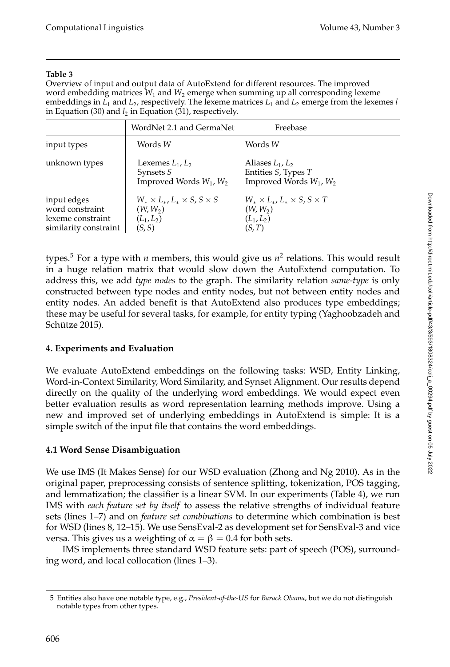Overview of input and output data of AutoExtend for different resources. The improved word embedding matrices *W*<sup>1</sup> and *W*<sup>2</sup> emerge when summing up all corresponding lexeme embeddings in *L*<sup>1</sup> and *L*<sup>2</sup> , respectively. The lexeme matrices *L*<sup>1</sup> and *L*<sup>2</sup> emerge from the lexemes *l* in Equation (30) and *l*<sub>2</sub> in Equation (31), respectively.

|                                                                              | WordNet 2.1 and GermaNet                                                                 | Freebase                                                                                 |
|------------------------------------------------------------------------------|------------------------------------------------------------------------------------------|------------------------------------------------------------------------------------------|
| input types                                                                  | Words W                                                                                  | Words W                                                                                  |
| unknown types                                                                | Lexemes $L_1, L_2$<br>Synsets S<br>Improved Words $W_1$ , $W_2$                          | Aliases $L_1, L_2$<br>Entities S, Types T<br>Improved Words $W_1$ , $W_2$                |
| input edges<br>word constraint<br>lexeme constraint<br>similarity constraint | $W_* \times L_*$ , $L_* \times S$ , $S \times S$<br>$(W, W_2)$<br>$(L_1, L_2)$<br>(S, S) | $W_* \times L_*$ , $L_* \times S$ , $S \times T$<br>$(W, W_2)$<br>$(L_1, L_2)$<br>(S, T) |

types.<sup>5</sup> For a type with *n* members, this would give us *n* 2 relations. This would result in a huge relation matrix that would slow down the AutoExtend computation. To address this, we add *type nodes* to the graph. The similarity relation *same-type* is only constructed between type nodes and entity nodes, but not between entity nodes and entity nodes. An added benefit is that AutoExtend also produces type embeddings; these may be useful for several tasks, for example, for entity typing (Yaghoobzadeh and Schütze 2015).

# **4. Experiments and Evaluation**

We evaluate AutoExtend embeddings on the following tasks: WSD, Entity Linking, Word-in-Context Similarity, Word Similarity, and Synset Alignment. Our results depend directly on the quality of the underlying word embeddings. We would expect even better evaluation results as word representation learning methods improve. Using a new and improved set of underlying embeddings in AutoExtend is simple: It is a simple switch of the input file that contains the word embeddings.

# **4.1 Word Sense Disambiguation**

We use IMS (It Makes Sense) for our WSD evaluation (Zhong and Ng 2010). As in the original paper, preprocessing consists of sentence splitting, tokenization, POS tagging, and lemmatization; the classifier is a linear SVM. In our experiments (Table 4), we run IMS with *each feature set by itself* to assess the relative strengths of individual feature sets (lines 1–7) and on *feature set combinations* to determine which combination is best for WSD (lines 8, 12–15). We use SensEval-2 as development set for SensEval-3 and vice versa. This gives us a weighting of  $\alpha = \beta = 0.4$  for both sets.

IMS implements three standard WSD feature sets: part of speech (POS), surrounding word, and local collocation (lines 1–3).

<sup>5</sup> Entities also have one notable type, e.g., *President-of-the-US* for *Barack Obama*, but we do not distinguish notable types from other types.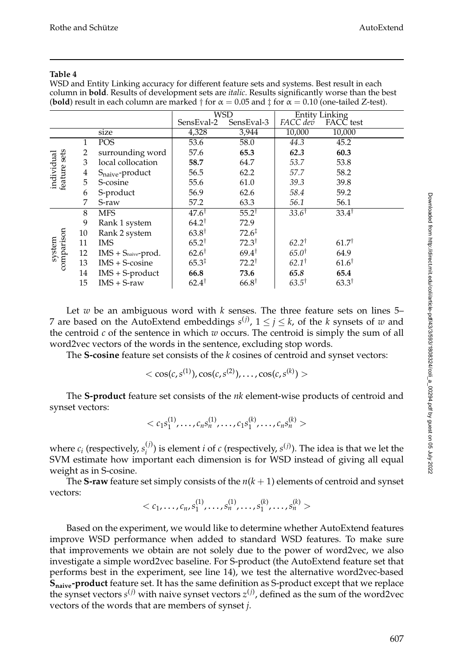WSD and Entity Linking accuracy for different feature sets and systems. Best result in each column in **bold**. Results of development sets are *italic*. Results significantly worse than the best (**bold**) result in each column are marked  $\dagger$  for  $\alpha = 0.05$  and  $\ddagger$  for  $\alpha = 0.10$  (one-tailed Z-test).

|                            |    | WSD                         |                   | Entity Linking<br>FACC dev FACC |                  |                  |
|----------------------------|----|-----------------------------|-------------------|---------------------------------|------------------|------------------|
|                            |    |                             | SensEval-2        | SensEval-3                      |                  | FACC test        |
|                            |    | size                        | 4,328             | 3,944                           | 10,000           | 10,000           |
|                            | 1  | POS                         | 53.6              | 58.0                            | 44.3             | 45.2             |
|                            | 2  | surrounding word            | 57.6              | 65.3                            | 62.3             | 60.3             |
|                            | 3  | local collocation           | 58.7              | 64.7                            | 53.7             | 53.8             |
|                            | 4  | S <sub>naive</sub> -product | 56.5              | 62.2                            | 57.7             | 58.2             |
| individual<br>feature sets | 5  | S-cosine                    | 55.6              | 61.0                            | 39.3             | 39.8             |
|                            | 6  | S-product                   | 56.9              | 62.6                            | 58.4             | 59.2             |
|                            | 7  | S-raw                       | 57.2              | 63.3                            | 56.1             | 56.1             |
|                            | 8  | <b>MFS</b>                  | $47.6^{\dagger}$  | $55.2^{\dagger}$                | $33.6^{\dagger}$ | $33.4^{\dagger}$ |
|                            | 9  | Rank 1 system               | $64.2^{\dagger}$  | 72.9                            |                  |                  |
|                            | 10 | Rank 2 system               | $63.8^{\dagger}$  | $72.6^{\ddagger}$               |                  |                  |
|                            | 11 | <b>IMS</b>                  | $65.2^{\dagger}$  | $72.3^{\dagger}$                | $62.2^{\dagger}$ | $61.7^{\dagger}$ |
| comparison<br>system       | 12 | IMS + Snaive-prod.          | $62.6^{\dagger}$  | $69.4^{\dagger}$                | $65.0^{\dagger}$ | 64.9             |
|                            | 13 | $IMS + S-cosine$            | $65.3^{\ddagger}$ | $72.2^{\dagger}$                | $62.1^{\dagger}$ | $61.6^{\dagger}$ |
|                            | 14 | $IMS + S-product$           | 66.8              | 73.6                            | 65.8             | 65.4             |
|                            | 15 | $IMS + S$ -raw              | $62.4^{\dagger}$  | $66.8^{\dagger}$                | $63.5^{\dagger}$ | $63.3^{\dagger}$ |

Let *w* be an ambiguous word with *k* senses. The three feature sets on lines 5– 7 are based on the AutoExtend embeddings  $s^{(j)}$ ,  $1 \le j \le k$ , of the *k* synsets of *w* and the centroid *c* of the sentence in which *w* occurs. The centroid is simply the sum of all word2vec vectors of the words in the sentence, excluding stop words.

The **S-cosine** feature set consists of the *k* cosines of centroid and synset vectors:

$$
\langle \cos(c, s^{(1)}), \cos(c, s^{(2)}), \ldots, \cos(c, s^{(k)}) \rangle
$$

The **S-product** feature set consists of the *nk* element-wise products of centroid and synset vectors:

$$

$$

where  $c_i$  (respectively,  $s_i^{(j)}$  $\binom{J}{i}$  is element *i* of *c* (respectively,  $s^{(j)}$ ). The idea is that we let the SVM estimate how important each dimension is for WSD instead of giving all equal weight as in S-cosine.

The **S-raw** feature set simply consists of the  $n(k + 1)$  elements of centroid and synset vectors:

$$

$$

Based on the experiment, we would like to determine whether AutoExtend features improve WSD performance when added to standard WSD features. To make sure that improvements we obtain are not solely due to the power of word2vec, we also investigate a simple word2vec baseline. For S-product (the AutoExtend feature set that performs best in the experiment, see line 14), we test the alternative word2vec-based **Snaive-product** feature set. It has the same definition as S-product except that we replace the synset vectors *s* (*j*) with naive synset vectors *z* (*j*) , defined as the sum of the word2vec vectors of the words that are members of synset *j*.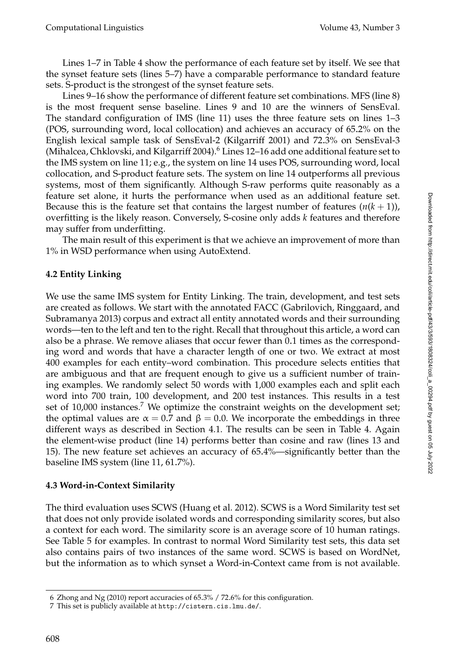Lines 1–7 in Table 4 show the performance of each feature set by itself. We see that the synset feature sets (lines 5–7) have a comparable performance to standard feature sets. S-product is the strongest of the synset feature sets.

Lines 9–16 show the performance of different feature set combinations. MFS (line 8) is the most frequent sense baseline. Lines 9 and 10 are the winners of SensEval. The standard configuration of IMS (line 11) uses the three feature sets on lines 1–3 (POS, surrounding word, local collocation) and achieves an accuracy of 65.2% on the English lexical sample task of SensEval-2 (Kilgarriff 2001) and 72.3% on SensEval-3 (Mihalcea, Chklovski, and Kilgarriff 2004).<sup>6</sup> Lines 12–16 add one additional feature set to the IMS system on line 11; e.g., the system on line 14 uses POS, surrounding word, local collocation, and S-product feature sets. The system on line 14 outperforms all previous systems, most of them significantly. Although S-raw performs quite reasonably as a feature set alone, it hurts the performance when used as an additional feature set. Because this is the feature set that contains the largest number of features  $(n(k+1))$ , overfitting is the likely reason. Conversely, S-cosine only adds *k* features and therefore may suffer from underfitting.

The main result of this experiment is that we achieve an improvement of more than 1% in WSD performance when using AutoExtend.

## **4.2 Entity Linking**

We use the same IMS system for Entity Linking. The train, development, and test sets are created as follows. We start with the annotated FACC (Gabrilovich, Ringgaard, and Subramanya 2013) corpus and extract all entity annotated words and their surrounding words—ten to the left and ten to the right. Recall that throughout this article, a word can also be a phrase. We remove aliases that occur fewer than 0.1 times as the corresponding word and words that have a character length of one or two. We extract at most 400 examples for each entity–word combination. This procedure selects entities that are ambiguous and that are frequent enough to give us a sufficient number of training examples. We randomly select 50 words with 1,000 examples each and split each word into 700 train, 100 development, and 200 test instances. This results in a test set of  $10,000$  instances.<sup>7</sup> We optimize the constraint weights on the development set; the optimal values are  $\alpha = 0.7$  and  $\beta = 0.0$ . We incorporate the embeddings in three different ways as described in Section 4.1. The results can be seen in Table 4. Again the element-wise product (line 14) performs better than cosine and raw (lines 13 and 15). The new feature set achieves an accuracy of 65.4%—significantly better than the baseline IMS system (line 11, 61.7%).

## **4.3 Word-in-Context Similarity**

The third evaluation uses SCWS (Huang et al. 2012). SCWS is a Word Similarity test set that does not only provide isolated words and corresponding similarity scores, but also a context for each word. The similarity score is an average score of 10 human ratings. See Table 5 for examples. In contrast to normal Word Similarity test sets, this data set also contains pairs of two instances of the same word. SCWS is based on WordNet, but the information as to which synset a Word-in-Context came from is not available.

<sup>6</sup> Zhong and Ng (2010) report accuracies of 65.3% / 72.6% for this configuration.

<sup>7</sup> This set is publicly available at http://cistern.cis.lmu.de/.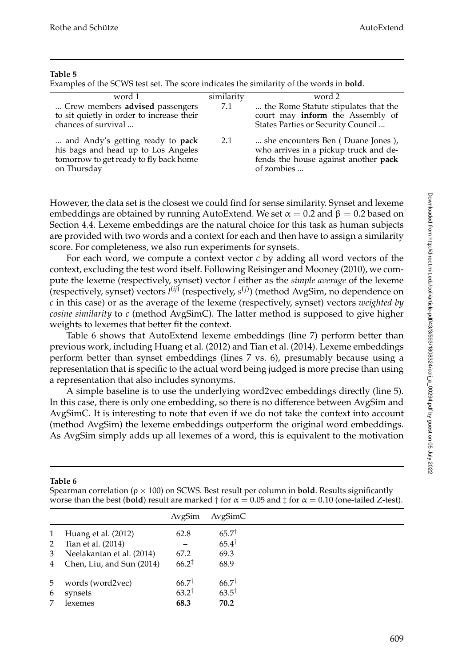Examples of the SCWS test set. The score indicates the similarity of the words in **bold**.

| word 1                                                                                                                           | similarity | word 2                                                                                                                           |
|----------------------------------------------------------------------------------------------------------------------------------|------------|----------------------------------------------------------------------------------------------------------------------------------|
| Crew members advised passengers<br>to sit quietly in order to increase their<br>chances of survival                              | 7.1        | the Rome Statute stipulates that the<br>court may inform the Assembly of<br>States Parties or Security Council                   |
| and Andy's getting ready to pack<br>his bags and head up to Los Angeles<br>tomorrow to get ready to fly back home<br>on Thursday | 2.1        | she encounters Ben (Duane Jones),<br>who arrives in a pickup truck and de-<br>fends the house against another pack<br>of zombies |

However, the data set is the closest we could find for sense similarity. Synset and lexeme embeddings are obtained by running AutoExtend. We set  $\alpha = 0.2$  and  $\beta = 0.2$  based on Section 4.4. Lexeme embeddings are the natural choice for this task as human subjects are provided with two words and a context for each and then have to assign a similarity score. For completeness, we also run experiments for synsets.

For each word, we compute a context vector *c* by adding all word vectors of the context, excluding the test word itself. Following Reisinger and Mooney (2010), we compute the lexeme (respectively, synset) vector *l* either as the *simple average* of the lexeme (respectively, synset) vectors *l* (*ij*) (respectively, *s* (*j*) ) (method AvgSim, no dependence on *c* in this case) or as the average of the lexeme (respectively, synset) vectors *weighted by cosine similarity* to *c* (method AvgSimC). The latter method is supposed to give higher weights to lexemes that better fit the context.

Table 6 shows that AutoExtend lexeme embeddings (line 7) perform better than previous work, including Huang et al. (2012) and Tian et al. (2014). Lexeme embeddings perform better than synset embeddings (lines 7 vs. 6), presumably because using a representation that is specific to the actual word being judged is more precise than using a representation that also includes synonyms.

A simple baseline is to use the underlying word2vec embeddings directly (line 5). In this case, there is only one embedding, so there is no difference between AvgSim and AvgSimC. It is interesting to note that even if we do not take the context into account (method AvgSim) the lexeme embeddings outperform the original word embeddings. As AvgSim simply adds up all lexemes of a word, this is equivalent to the motivation

**Table 6**

|   | worse than the best (bold) result are marked $\dagger$ for $\alpha = 0.05$ and $\dagger$ for $\alpha = 0.10$ (one-tailed Z-test). |                   |                  |  |  |  |  |  |  |
|---|-----------------------------------------------------------------------------------------------------------------------------------|-------------------|------------------|--|--|--|--|--|--|
|   |                                                                                                                                   | AvgSim            | AvgSimC          |  |  |  |  |  |  |
| 1 | Huang et al. (2012)                                                                                                               | 62.8              | $65.7^{\dagger}$ |  |  |  |  |  |  |
| 2 | Tian et al. (2014)                                                                                                                |                   | $65.4^{\dagger}$ |  |  |  |  |  |  |
| 3 | Neelakantan et al. (2014)                                                                                                         | 67.2              | 69.3             |  |  |  |  |  |  |
| 4 | Chen, Liu, and Sun (2014)                                                                                                         | $66.2^{\ddagger}$ | 68.9             |  |  |  |  |  |  |
| 5 | words (word2vec)                                                                                                                  | $66.7^{\dagger}$  | $66.7^{\dagger}$ |  |  |  |  |  |  |
| 6 | synsets                                                                                                                           | $63.2^{\dagger}$  | $63.5^{\dagger}$ |  |  |  |  |  |  |
| 7 | lexemes                                                                                                                           | 68.3              | 70.2             |  |  |  |  |  |  |

Spearman correlation (ρ × 100) on SCWS. Best result per column in **bold**. Results significantly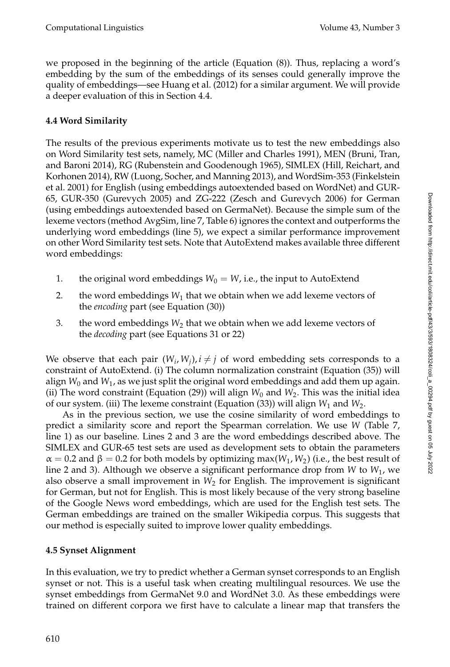we proposed in the beginning of the article (Equation (8)). Thus, replacing a word's embedding by the sum of the embeddings of its senses could generally improve the quality of embeddings—see Huang et al. (2012) for a similar argument. We will provide a deeper evaluation of this in Section 4.4.

# **4.4 Word Similarity**

The results of the previous experiments motivate us to test the new embeddings also on Word Similarity test sets, namely, MC (Miller and Charles 1991), MEN (Bruni, Tran, and Baroni 2014), RG (Rubenstein and Goodenough 1965), SIMLEX (Hill, Reichart, and Korhonen 2014), RW (Luong, Socher, and Manning 2013), and WordSim-353 (Finkelstein et al. 2001) for English (using embeddings autoextended based on WordNet) and GUR-65, GUR-350 (Gurevych 2005) and ZG-222 (Zesch and Gurevych 2006) for German (using embeddings autoextended based on GermaNet). Because the simple sum of the lexeme vectors (method AvgSim, line 7, Table 6) ignores the context and outperforms the underlying word embeddings (line 5), we expect a similar performance improvement on other Word Similarity test sets. Note that AutoExtend makes available three different word embeddings:

- 1. the original word embeddings  $W_0 = W$ , i.e., the input to AutoExtend
- 2.  $\quad$  the word embeddings  $W_1$  that we obtain when we add lexeme vectors of the *encoding* part (see Equation (30))
- 3. the word embeddings  $W_2$  that we obtain when we add lexeme vectors of the *decoding* part (see Equations 31 or 22)

We observe that each pair  $(W_i, W_j)$ ,  $i \neq j$  of word embedding sets corresponds to a constraint of AutoExtend. (i) The column normalization constraint (Equation (35)) will align  $W_0$  and  $W_1$ , as we just split the original word embeddings and add them up again. (ii) The word constraint (Equation (29)) will align  $W_0$  and  $W_2$ . This was the initial idea of our system. (iii) The lexeme constraint (Equation (33)) will align  $W_1$  and  $W_2$ .

As in the previous section, we use the cosine similarity of word embeddings to predict a similarity score and report the Spearman correlation. We use *W* (Table 7, line 1) as our baseline. Lines 2 and 3 are the word embeddings described above. The SIMLEX and GUR-65 test sets are used as development sets to obtain the parameters  $\alpha = 0.2$  and  $\beta = 0.2$  for both models by optimizing max( $W_1, W_2$ ) (i.e., the best result of line 2 and 3). Although we observe a significant performance drop from *W* to *W*<sup>1</sup> , we also observe a small improvement in  $W_2$  for English. The improvement is significant for German, but not for English. This is most likely because of the very strong baseline of the Google News word embeddings, which are used for the English test sets. The German embeddings are trained on the smaller Wikipedia corpus. This suggests that our method is especially suited to improve lower quality embeddings.

# **4.5 Synset Alignment**

In this evaluation, we try to predict whether a German synset corresponds to an English synset or not. This is a useful task when creating multilingual resources. We use the synset embeddings from GermaNet 9.0 and WordNet 3.0. As these embeddings were trained on different corpora we first have to calculate a linear map that transfers the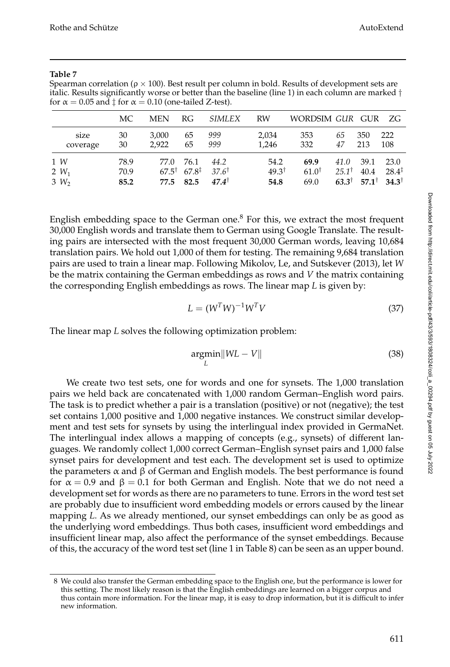|          | MC.  | <b>MEN</b>       | RG                | SIMLEX           | RW               | WORDSIM GUR GUR  |                  |                  | -ZG               |
|----------|------|------------------|-------------------|------------------|------------------|------------------|------------------|------------------|-------------------|
| size     | 30   | 3.000            | 65                | 999              | 2,034            | 353              | 65               | 350              | 222               |
| coverage | 30   | 2.922            | 65                | 999              | 1,246            | 332              | 47               | 213              | 108               |
| 1 W      | 78.9 | 77.0             | 76.1              | 44.2             | 54.2             | 69.9             | 41.0             | 39.1             | 23.0              |
| 2 $W_1$  | 70.9 | $67.5^{\dagger}$ | $67.8^{\ddagger}$ | $37.6^{\dagger}$ | $49.3^{\dagger}$ | $61.0^{\dagger}$ | $25.1^{\dagger}$ | 40.4             | $28.4^{\ddagger}$ |
| $3 W_2$  | 85.2 | 77.5             | 82.5              | $47.4^{\dagger}$ | 54.8             | 69.0             | $63.3^{\dagger}$ | $57.1^{\dagger}$ | $34.3^{\dagger}$  |

Spearman correlation ( $ρ \times 100$ ). Best result per column in bold. Results of development sets are italic. Results significantly worse or better than the baseline (line 1) in each column are marked  $\dagger$ for  $\alpha = 0.05$  and  $\ddagger$  for  $\alpha = 0.10$  (one-tailed Z-test).

English embedding space to the German one. $8$  For this, we extract the most frequent 30,000 English words and translate them to German using Google Translate. The resulting pairs are intersected with the most frequent 30,000 German words, leaving 10,684 translation pairs. We hold out 1,000 of them for testing. The remaining 9,684 translation pairs are used to train a linear map. Following Mikolov, Le, and Sutskever (2013), let *W* be the matrix containing the German embeddings as rows and *V* the matrix containing the corresponding English embeddings as rows. The linear map *L* is given by:

$$
L = (W^T W)^{-1} W^T V \tag{37}
$$

The linear map *L* solves the following optimization problem:

$$
\underset{L}{\text{argmin}} \|WL - V\| \tag{38}
$$

We create two test sets, one for words and one for synsets. The 1,000 translation pairs we held back are concatenated with 1,000 random German–English word pairs. The task is to predict whether a pair is a translation (positive) or not (negative); the test set contains 1,000 positive and 1,000 negative instances. We construct similar development and test sets for synsets by using the interlingual index provided in GermaNet. The interlingual index allows a mapping of concepts (e.g., synsets) of different languages. We randomly collect 1,000 correct German–English synset pairs and 1,000 false synset pairs for development and test each. The development set is used to optimize the parameters  $\alpha$  and  $\beta$  of German and English models. The best performance is found for  $\alpha = 0.9$  and  $\beta = 0.1$  for both German and English. Note that we do not need a development set for words as there are no parameters to tune. Errors in the word test set are probably due to insufficient word embedding models or errors caused by the linear mapping *L*. As we already mentioned, our synset embeddings can only be as good as the underlying word embeddings. Thus both cases, insufficient word embeddings and insufficient linear map, also affect the performance of the synset embeddings. Because of this, the accuracy of the word test set (line 1 in Table 8) can be seen as an upper bound.

<sup>8</sup> We could also transfer the German embedding space to the English one, but the performance is lower for this setting. The most likely reason is that the English embeddings are learned on a bigger corpus and thus contain more information. For the linear map, it is easy to drop information, but it is difficult to infer new information.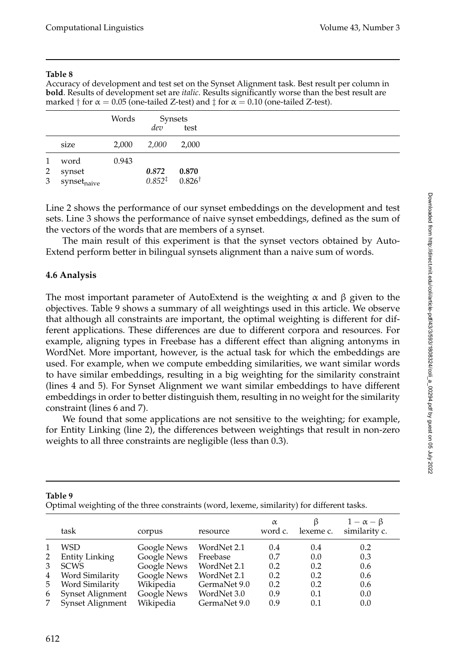Accuracy of development and test set on the Synset Alignment task. Best result per column in **bold**. Results of development set are *italic*. Results significantly worse than the best result are marked  $\dagger$  for  $\alpha = 0.05$  (one-tailed Z-test) and  $\ddagger$  for  $\alpha = 0.10$  (one-tailed Z-test).

|                |                         | Words | dev                                   | Synsets<br>test |
|----------------|-------------------------|-------|---------------------------------------|-----------------|
|                | size                    | 2,000 | 2,000                                 | 2,000           |
| $\mathbf{1}$   | word                    | 0.943 |                                       |                 |
| $\overline{2}$ | synset                  |       | 0.872                                 | 0.870           |
| 3 <sup>7</sup> | synset <sub>naive</sub> |       | $0.852^{\ddagger}$ 0.826 <sup>†</sup> |                 |

Line 2 shows the performance of our synset embeddings on the development and test sets. Line 3 shows the performance of naive synset embeddings, defined as the sum of the vectors of the words that are members of a synset.

The main result of this experiment is that the synset vectors obtained by Auto-Extend perform better in bilingual synsets alignment than a naive sum of words.

# **4.6 Analysis**

The most important parameter of AutoExtend is the weighting  $\alpha$  and  $\beta$  given to the objectives. Table 9 shows a summary of all weightings used in this article. We observe that although all constraints are important, the optimal weighting is different for different applications. These differences are due to different corpora and resources. For example, aligning types in Freebase has a different effect than aligning antonyms in WordNet. More important, however, is the actual task for which the embeddings are used. For example, when we compute embedding similarities, we want similar words to have similar embeddings, resulting in a big weighting for the similarity constraint (lines 4 and 5). For Synset Alignment we want similar embeddings to have different embeddings in order to better distinguish them, resulting in no weight for the similarity constraint (lines 6 and 7).

We found that some applications are not sensitive to the weighting; for example, for Entity Linking (line 2), the differences between weightings that result in non-zero weights to all three constraints are negligible (less than 0.3).

|   | task             | corpus      | resource     | $\alpha$<br>word c. | lexeme c. | $1-\alpha-\beta$<br>similarity c. |
|---|------------------|-------------|--------------|---------------------|-----------|-----------------------------------|
|   | WSD              | Google News | WordNet 2.1  | 0.4                 | 0.4       | 0.2                               |
| 2 | Entity Linking   | Google News | Freebase     | 0.7                 | 0.0       | 0.3                               |
| 3 | <b>SCWS</b>      | Google News | WordNet 2.1  | 0.2                 | 0.2       | 0.6                               |
| 4 | Word Similarity  | Google News | WordNet 2.1  | 0.2                 | 0.2       | 0.6                               |
| 5 | Word Similarity  | Wikipedia   | GermaNet 9.0 | 0.2                 | 0.2       | 0.6                               |
| 6 | Synset Alignment | Google News | WordNet 3.0  | 0.9                 | 0.1       | 0.0                               |
| 7 | Synset Alignment | Wikipedia   | GermaNet 9.0 | 0.9                 | 0.1       | 0.0                               |

Optimal weighting of the three constraints (word, lexeme, similarity) for different tasks.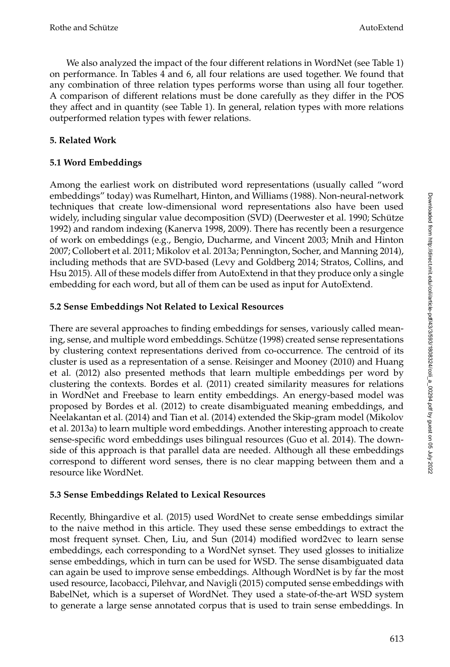We also analyzed the impact of the four different relations in WordNet (see Table 1) on performance. In Tables 4 and 6, all four relations are used together. We found that any combination of three relation types performs worse than using all four together. A comparison of different relations must be done carefully as they differ in the POS they affect and in quantity (see Table 1). In general, relation types with more relations outperformed relation types with fewer relations.

# **5. Related Work**

# **5.1 Word Embeddings**

Among the earliest work on distributed word representations (usually called "word embeddings" today) was Rumelhart, Hinton, and Williams (1988). Non-neural-network techniques that create low-dimensional word representations also have been used widely, including singular value decomposition (SVD) (Deerwester et al. 1990; Schütze 1992) and random indexing (Kanerva 1998, 2009). There has recently been a resurgence of work on embeddings (e.g., Bengio, Ducharme, and Vincent 2003; Mnih and Hinton 2007; Collobert et al. 2011; Mikolov et al. 2013a; Pennington, Socher, and Manning 2014), including methods that are SVD-based (Levy and Goldberg 2014; Stratos, Collins, and Hsu 2015). All of these models differ from AutoExtend in that they produce only a single embedding for each word, but all of them can be used as input for AutoExtend.

# **5.2 Sense Embeddings Not Related to Lexical Resources**

There are several approaches to finding embeddings for senses, variously called meaning, sense, and multiple word embeddings. Schütze (1998) created sense representations by clustering context representations derived from co-occurrence. The centroid of its cluster is used as a representation of a sense. Reisinger and Mooney (2010) and Huang et al. (2012) also presented methods that learn multiple embeddings per word by clustering the contexts. Bordes et al. (2011) created similarity measures for relations in WordNet and Freebase to learn entity embeddings. An energy-based model was proposed by Bordes et al. (2012) to create disambiguated meaning embeddings, and Neelakantan et al. (2014) and Tian et al. (2014) extended the Skip-gram model (Mikolov et al. 2013a) to learn multiple word embeddings. Another interesting approach to create sense-specific word embeddings uses bilingual resources (Guo et al. 2014). The downside of this approach is that parallel data are needed. Although all these embeddings correspond to different word senses, there is no clear mapping between them and a resource like WordNet.

# **5.3 Sense Embeddings Related to Lexical Resources**

Recently, Bhingardive et al. (2015) used WordNet to create sense embeddings similar to the naive method in this article. They used these sense embeddings to extract the most frequent synset. Chen, Liu, and Sun (2014) modified word2vec to learn sense embeddings, each corresponding to a WordNet synset. They used glosses to initialize sense embeddings, which in turn can be used for WSD. The sense disambiguated data can again be used to improve sense embeddings. Although WordNet is by far the most used resource, Iacobacci, Pilehvar, and Navigli (2015) computed sense embeddings with BabelNet, which is a superset of WordNet. They used a state-of-the-art WSD system to generate a large sense annotated corpus that is used to train sense embeddings. In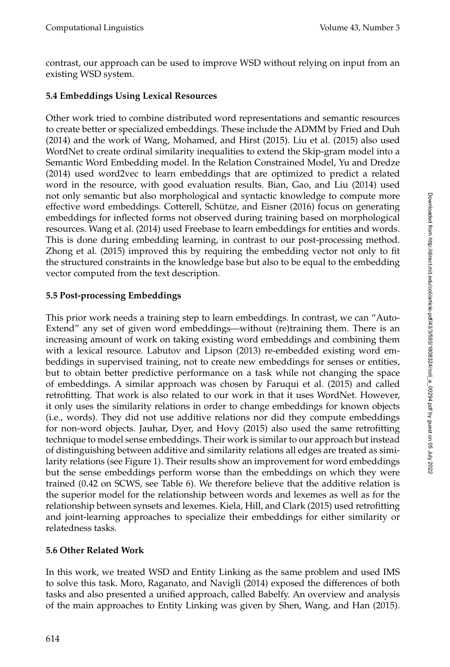contrast, our approach can be used to improve WSD without relying on input from an existing WSD system.

# **5.4 Embeddings Using Lexical Resources**

Other work tried to combine distributed word representations and semantic resources to create better or specialized embeddings. These include the ADMM by Fried and Duh (2014) and the work of Wang, Mohamed, and Hirst (2015). Liu et al. (2015) also used WordNet to create ordinal similarity inequalities to extend the Skip-gram model into a Semantic Word Embedding model. In the Relation Constrained Model, Yu and Dredze (2014) used word2vec to learn embeddings that are optimized to predict a related word in the resource, with good evaluation results. Bian, Gao, and Liu (2014) used not only semantic but also morphological and syntactic knowledge to compute more effective word embeddings. Cotterell, Schütze, and Eisner (2016) focus on generating embeddings for inflected forms not observed during training based on morphological resources. Wang et al. (2014) used Freebase to learn embeddings for entities and words. This is done during embedding learning, in contrast to our post-processing method. Zhong et al. (2015) improved this by requiring the embedding vector not only to fit the structured constraints in the knowledge base but also to be equal to the embedding vector computed from the text description.

# **5.5 Post-processing Embeddings**

This prior work needs a training step to learn embeddings. In contrast, we can "Auto-Extend" any set of given word embeddings—without (re)training them. There is an increasing amount of work on taking existing word embeddings and combining them with a lexical resource. Labutov and Lipson (2013) re-embedded existing word embeddings in supervised training, not to create new embeddings for senses or entities, but to obtain better predictive performance on a task while not changing the space of embeddings. A similar approach was chosen by Faruqui et al. (2015) and called retrofitting. That work is also related to our work in that it uses WordNet. However, it only uses the similarity relations in order to change embeddings for known objects (i.e., words). They did not use additive relations nor did they compute embeddings for non-word objects. Jauhar, Dyer, and Hovy (2015) also used the same retrofitting technique to model sense embeddings. Their work is similar to our approach but instead of distinguishing between additive and similarity relations all edges are treated as similarity relations (see Figure 1). Their results show an improvement for word embeddings but the sense embeddings perform worse than the embeddings on which they were trained (0.42 on SCWS, see Table 6). We therefore believe that the additive relation is the superior model for the relationship between words and lexemes as well as for the relationship between synsets and lexemes. Kiela, Hill, and Clark (2015) used retrofitting and joint-learning approaches to specialize their embeddings for either similarity or relatedness tasks.

# **5.6 Other Related Work**

In this work, we treated WSD and Entity Linking as the same problem and used IMS to solve this task. Moro, Raganato, and Navigli (2014) exposed the differences of both tasks and also presented a unified approach, called Babelfy. An overview and analysis of the main approaches to Entity Linking was given by Shen, Wang, and Han (2015).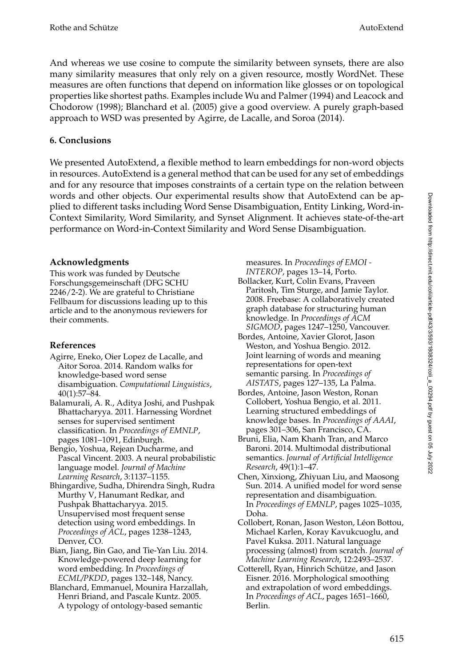And whereas we use cosine to compute the similarity between synsets, there are also many similarity measures that only rely on a given resource, mostly WordNet. These measures are often functions that depend on information like glosses or on topological properties like shortest paths. Examples include Wu and Palmer (1994) and Leacock and Chodorow (1998); Blanchard et al. (2005) give a good overview. A purely graph-based approach to WSD was presented by Agirre, de Lacalle, and Soroa (2014).

# **6. Conclusions**

We presented AutoExtend, a flexible method to learn embeddings for non-word objects in resources. AutoExtend is a general method that can be used for any set of embeddings and for any resource that imposes constraints of a certain type on the relation between words and other objects. Our experimental results show that AutoExtend can be applied to different tasks including Word Sense Disambiguation, Entity Linking, Word-in-Context Similarity, Word Similarity, and Synset Alignment. It achieves state-of-the-art performance on Word-in-Context Similarity and Word Sense Disambiguation.

# **Acknowledgments**

This work was funded by Deutsche Forschungsgemeinschaft (DFG SCHU 2246/2-2). We are grateful to Christiane Fellbaum for discussions leading up to this article and to the anonymous reviewers for their comments.

# **References**

- Agirre, Eneko, Oier Lopez de Lacalle, and Aitor Soroa. 2014. Random walks for knowledge-based word sense disambiguation. *Computational Linguistics*, 40(1):57–84.
- Balamurali, A. R., Aditya Joshi, and Pushpak Bhattacharyya. 2011. Harnessing Wordnet senses for supervised sentiment classification. In *Proceedings of EMNLP*, pages 1081–1091, Edinburgh.
- Bengio, Yoshua, Rejean Ducharme, and Pascal Vincent. 2003. A neural probabilistic language model. *Journal of Machine Learning Research*, 3:1137–1155.
- Bhingardive, Sudha, Dhirendra Singh, Rudra Murthy V, Hanumant Redkar, and Pushpak Bhattacharyya. 2015. Unsupervised most frequent sense detection using word embeddings. In *Proceedings of ACL*, pages 1238–1243, Denver, CO.
- Bian, Jiang, Bin Gao, and Tie-Yan Liu. 2014. Knowledge-powered deep learning for word embedding. In *Proceedings of ECML/PKDD*, pages 132–148, Nancy.
- Blanchard, Emmanuel, Mounira Harzallah, Henri Briand, and Pascale Kuntz. 2005. A typology of ontology-based semantic

measures. In *Proceedings of EMOI - INTEROP*, pages 13–14, Porto.

- Bollacker, Kurt, Colin Evans, Praveen Paritosh, Tim Sturge, and Jamie Taylor. 2008. Freebase: A collaboratively created graph database for structuring human knowledge. In *Proceedings of ACM SIGMOD*, pages 1247–1250, Vancouver.
- Bordes, Antoine, Xavier Glorot, Jason Weston, and Yoshua Bengio. 2012. Joint learning of words and meaning representations for open-text semantic parsing. In *Proceedings of AISTATS*, pages 127–135, La Palma.
- Bordes, Antoine, Jason Weston, Ronan Collobert, Yoshua Bengio, et al. 2011. Learning structured embeddings of knowledge bases. In *Proceedings of AAAI*, pages 301–306, San Francisco, CA.
- Bruni, Elia, Nam Khanh Tran, and Marco Baroni. 2014. Multimodal distributional semantics. *Journal of Artificial Intelligence Research*, 49(1):1–47.
- Chen, Xinxiong, Zhiyuan Liu, and Maosong Sun. 2014. A unified model for word sense representation and disambiguation. In *Proceedings of EMNLP*, pages 1025–1035, Doha.
- Collobert, Ronan, Jason Weston, Léon Bottou, Michael Karlen, Koray Kavukcuoglu, and Pavel Kuksa. 2011. Natural language processing (almost) from scratch. *Journal of Machine Learning Research*, 12:2493–2537.
- Cotterell, Ryan, Hinrich Schütze, and Jason Eisner. 2016. Morphological smoothing and extrapolation of word embeddings. In *Proceedings of ACL*, pages 1651–1660, Berlin.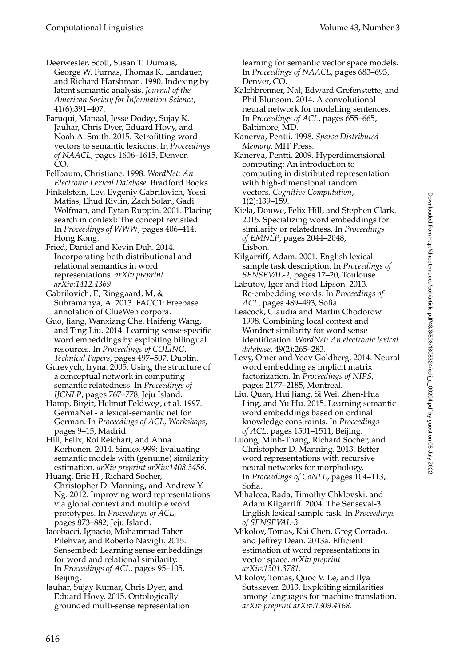Deerwester, Scott, Susan T. Dumais, George W. Furnas, Thomas K. Landauer, and Richard Harshman. 1990. Indexing by latent semantic analysis. *Journal of the American Society for Information Science*, 41(6):391–407.

Faruqui, Manaal, Jesse Dodge, Sujay K. Jauhar, Chris Dyer, Eduard Hovy, and Noah A. Smith. 2015. Retrofitting word vectors to semantic lexicons. In *Proceedings of NAACL*, pages 1606–1615, Denver, CO.

Fellbaum, Christiane. 1998. *WordNet: An Electronic Lexical Database*. Bradford Books.

Finkelstein, Lev, Evgeniy Gabrilovich, Yossi Matias, Ehud Rivlin, Zach Solan, Gadi Wolfman, and Eytan Ruppin. 2001. Placing search in context: The concept revisited. In *Proceedings of WWW*, pages 406–414, Hong Kong.

Fried, Daniel and Kevin Duh. 2014. Incorporating both distributional and relational semantics in word representations. *arXiv preprint arXiv:1412.4369*.

Gabrilovich, E, Ringgaard, M, & Subramanya, A. 2013. FACC1: Freebase annotation of ClueWeb corpora.

Guo, Jiang, Wanxiang Che, Haifeng Wang, and Ting Liu. 2014. Learning sense-specific word embeddings by exploiting bilingual resources. In *Proceedings of COLING, Technical Papers*, pages 497–507, Dublin.

Gurevych, Iryna. 2005. Using the structure of a conceptual network in computing semantic relatedness. In *Proceedings of IJCNLP*, pages 767–778, Jeju Island.

Hamp, Birgit, Helmut Feldweg, et al. 1997. GermaNet - a lexical-semantic net for German. In *Proceedings of ACL, Workshops*, pages 9–15, Madrid.

Hill, Felix, Roi Reichart, and Anna Korhonen. 2014. Simlex-999: Evaluating semantic models with (genuine) similarity estimation. *arXiv preprint arXiv:1408.3456*.

Huang, Eric H., Richard Socher, Christopher D. Manning, and Andrew Y. Ng. 2012. Improving word representations via global context and multiple word prototypes. In *Proceedings of ACL*, pages 873–882, Jeju Island.

Iacobacci, Ignacio, Mohammad Taher Pilehvar, and Roberto Navigli. 2015. Sensembed: Learning sense embeddings for word and relational similarity. In *Proceedings of ACL*, pages 95–105, Beijing.

Jauhar, Sujay Kumar, Chris Dyer, and Eduard Hovy. 2015. Ontologically grounded multi-sense representation learning for semantic vector space models. In *Proceedings of NAACL*, pages 683–693, Denver, CO.

- Kalchbrenner, Nal, Edward Grefenstette, and Phil Blunsom. 2014. A convolutional neural network for modelling sentences. In *Proceedings of ACL*, pages 655–665, Baltimore, MD.
- Kanerva, Pentti. 1998. *Sparse Distributed Memory*. MIT Press.

Kanerva, Pentti. 2009. Hyperdimensional computing: An introduction to computing in distributed representation with high-dimensional random vectors. *Cognitive Computation*, 1(2):139–159.

Kiela, Douwe, Felix Hill, and Stephen Clark. 2015. Specializing word embeddings for similarity or relatedness. In *Proceedings of EMNLP*, pages 2044–2048, Lisbon.

- Kilgarriff, Adam. 2001. English lexical sample task description. In *Proceedings of SENSEVAL-2*, pages 17–20, Toulouse.
- Labutov, Igor and Hod Lipson. 2013. Re-embedding words. In *Proceedings of ACL*, pages 489–493, Sofia.
- Leacock, Claudia and Martin Chodorow. 1998. Combining local context and Wordnet similarity for word sense identification. *WordNet: An electronic lexical database*, 49(2):265–283.
- Levy, Omer and Yoav Goldberg. 2014. Neural word embedding as implicit matrix factorization. In *Proceedings of NIPS*, pages 2177–2185, Montreal.
- Liu, Quan, Hui Jiang, Si Wei, Zhen-Hua Ling, and Yu Hu. 2015. Learning semantic word embeddings based on ordinal knowledge constraints. In *Proceedings of ACL*, pages 1501–1511, Beijing.
- Luong, Minh-Thang, Richard Socher, and Christopher D. Manning. 2013. Better word representations with recursive neural networks for morphology. In *Proceedings of CoNLL*, pages 104–113, Sofia.
- Mihalcea, Rada, Timothy Chklovski, and Adam Kilgarriff. 2004. The Senseval-3 English lexical sample task. In *Proceedings of SENSEVAL-3*.
- Mikolov, Tomas, Kai Chen, Greg Corrado, and Jeffrey Dean. 2013a. Efficient estimation of word representations in vector space. *arXiv preprint arXiv:1301.3781*.
- Mikolov, Tomas, Quoc V. Le, and Ilya Sutskever. 2013. Exploiting similarities among languages for machine translation. *arXiv preprint arXiv:1309.4168*.